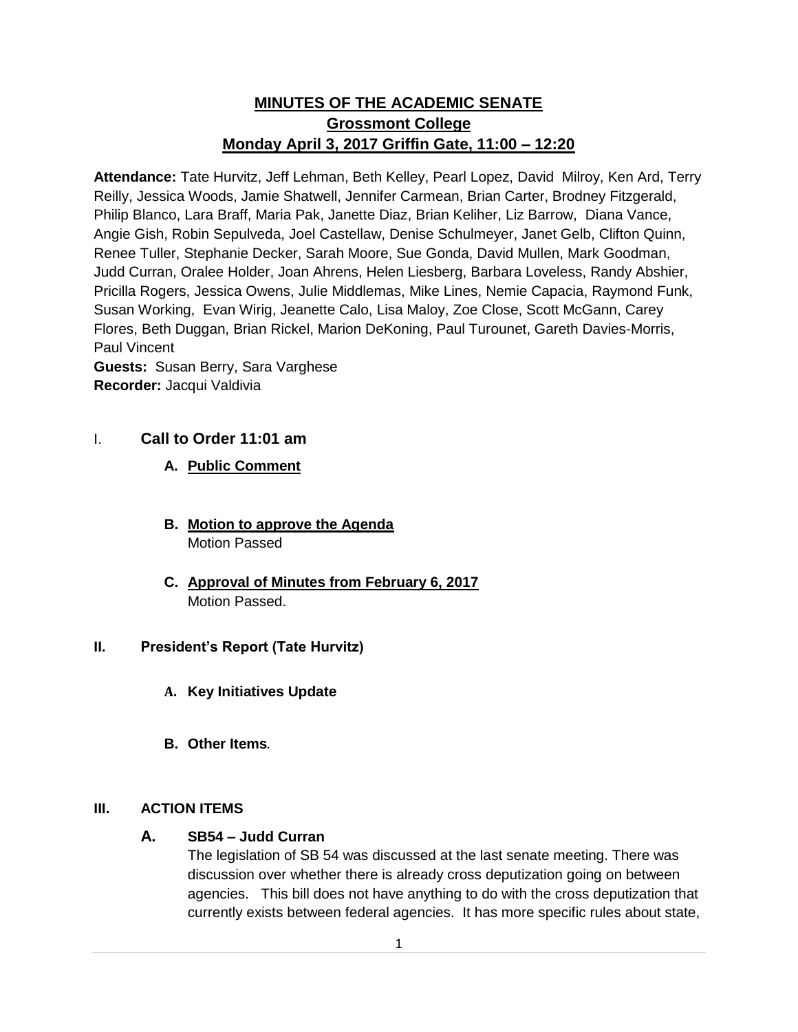# **MINUTES OF THE ACADEMIC SENATE Grossmont College Monday April 3, 2017 Griffin Gate, 11:00 – 12:20**

**Attendance:** Tate Hurvitz, Jeff Lehman, Beth Kelley, Pearl Lopez, David Milroy, Ken Ard, Terry Reilly, Jessica Woods, Jamie Shatwell, Jennifer Carmean, Brian Carter, Brodney Fitzgerald, Philip Blanco, Lara Braff, Maria Pak, Janette Diaz, Brian Keliher, Liz Barrow, Diana Vance, Angie Gish, Robin Sepulveda, Joel Castellaw, Denise Schulmeyer, Janet Gelb, Clifton Quinn, Renee Tuller, Stephanie Decker, Sarah Moore, Sue Gonda, David Mullen, Mark Goodman, Judd Curran, Oralee Holder, Joan Ahrens, Helen Liesberg, Barbara Loveless, Randy Abshier, Pricilla Rogers, Jessica Owens, Julie Middlemas, Mike Lines, Nemie Capacia, Raymond Funk, Susan Working, Evan Wirig, Jeanette Calo, Lisa Maloy, Zoe Close, Scott McGann, Carey Flores, Beth Duggan, Brian Rickel, Marion DeKoning, Paul Turounet, Gareth Davies-Morris, Paul Vincent **Guests:** Susan Berry, Sara Varghese

**Recorder:** Jacqui Valdivia

# I. **Call to Order 11:01 am**

# **A. Public Comment**

- **B. Motion to approve the Agenda** Motion Passed
- **C. Approval of Minutes from February 6, 2017** Motion Passed.

# **II. President's Report (Tate Hurvitz)**

- **A. Key Initiatives Update**
- **B. Other Items**.

# **III. ACTION ITEMS**

# **A. SB54 – Judd Curran**

The legislation of SB 54 was discussed at the last senate meeting. There was discussion over whether there is already cross deputization going on between agencies. This bill does not have anything to do with the cross deputization that currently exists between federal agencies. It has more specific rules about state,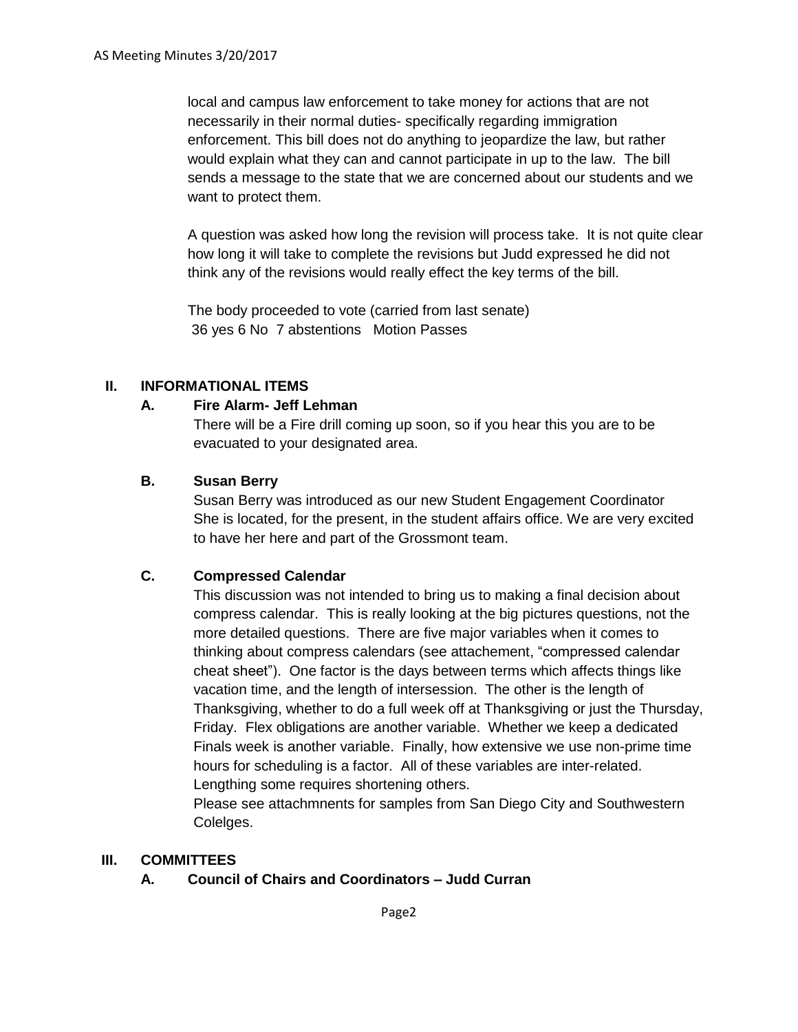local and campus law enforcement to take money for actions that are not necessarily in their normal duties- specifically regarding immigration enforcement. This bill does not do anything to jeopardize the law, but rather would explain what they can and cannot participate in up to the law. The bill sends a message to the state that we are concerned about our students and we want to protect them.

A question was asked how long the revision will process take. It is not quite clear how long it will take to complete the revisions but Judd expressed he did not think any of the revisions would really effect the key terms of the bill.

The body proceeded to vote (carried from last senate) 36 yes 6 No 7 abstentions Motion Passes

### **II. INFORMATIONAL ITEMS**

### **A. Fire Alarm- Jeff Lehman**

There will be a Fire drill coming up soon, so if you hear this you are to be evacuated to your designated area.

### **B. Susan Berry**

Susan Berry was introduced as our new Student Engagement Coordinator She is located, for the present, in the student affairs office. We are very excited to have her here and part of the Grossmont team.

# **C. Compressed Calendar**

This discussion was not intended to bring us to making a final decision about compress calendar. This is really looking at the big pictures questions, not the more detailed questions. There are five major variables when it comes to thinking about compress calendars (see attachement, "compressed calendar cheat sheet"). One factor is the days between terms which affects things like vacation time, and the length of intersession. The other is the length of Thanksgiving, whether to do a full week off at Thanksgiving or just the Thursday, Friday. Flex obligations are another variable. Whether we keep a dedicated Finals week is another variable. Finally, how extensive we use non-prime time hours for scheduling is a factor. All of these variables are inter-related. Lengthing some requires shortening others.

Please see attachmnents for samples from San Diego City and Southwestern Colelges.

#### **III. COMMITTEES**

# **A. Council of Chairs and Coordinators – Judd Curran**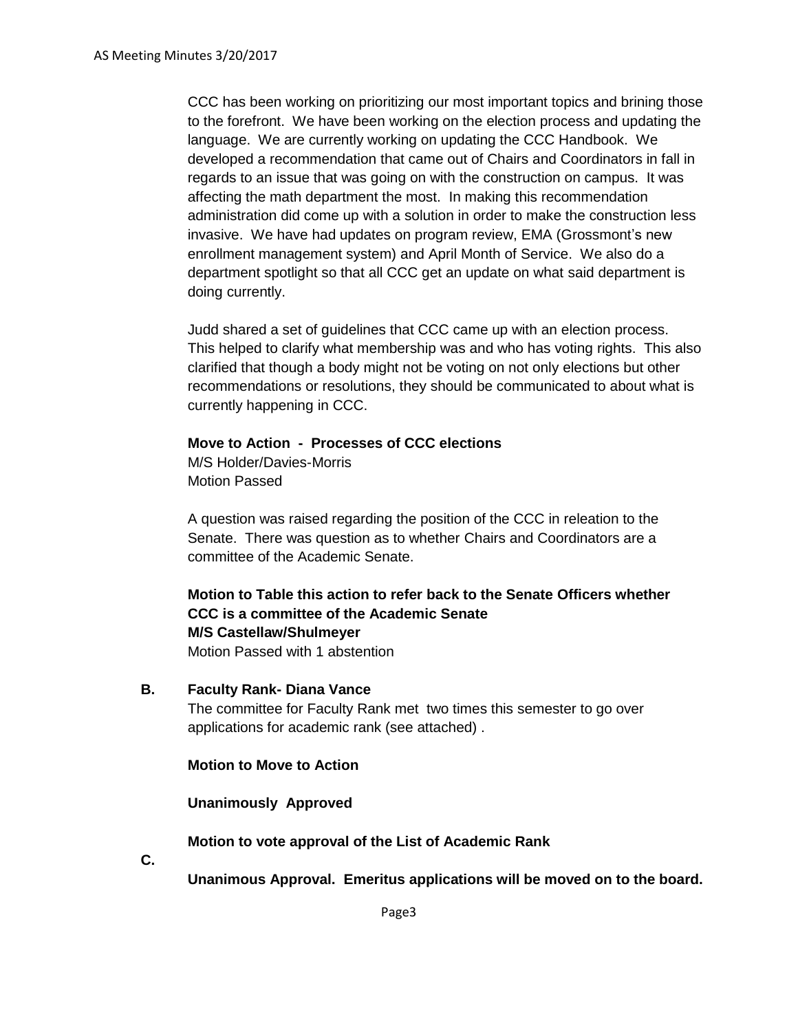CCC has been working on prioritizing our most important topics and brining those to the forefront. We have been working on the election process and updating the language. We are currently working on updating the CCC Handbook. We developed a recommendation that came out of Chairs and Coordinators in fall in regards to an issue that was going on with the construction on campus. It was affecting the math department the most. In making this recommendation administration did come up with a solution in order to make the construction less invasive. We have had updates on program review, EMA (Grossmont's new enrollment management system) and April Month of Service. We also do a department spotlight so that all CCC get an update on what said department is doing currently.

Judd shared a set of guidelines that CCC came up with an election process. This helped to clarify what membership was and who has voting rights. This also clarified that though a body might not be voting on not only elections but other recommendations or resolutions, they should be communicated to about what is currently happening in CCC.

#### **Move to Action - Processes of CCC elections**

M/S Holder/Davies-Morris Motion Passed

A question was raised regarding the position of the CCC in releation to the Senate. There was question as to whether Chairs and Coordinators are a committee of the Academic Senate.

**Motion to Table this action to refer back to the Senate Officers whether CCC is a committee of the Academic Senate M/S Castellaw/Shulmeyer**

Motion Passed with 1 abstention

**B. Faculty Rank- Diana Vance**

The committee for Faculty Rank met two times this semester to go over applications for academic rank (see attached) .

#### **Motion to Move to Action**

**Unanimously Approved**

#### **Motion to vote approval of the List of Academic Rank**

**C.**

**Unanimous Approval. Emeritus applications will be moved on to the board.**